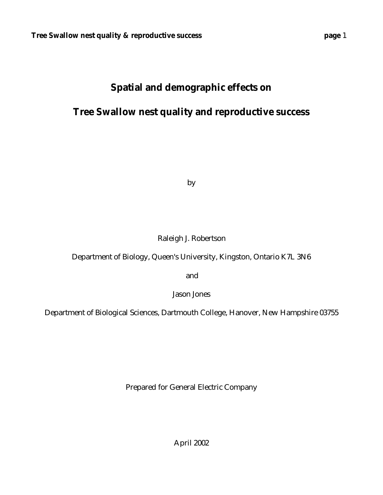# **Spatial and demographic effects on**

# **Tree Swallow nest quality and reproductive success**

by

## Raleigh J. Robertson

Department of Biology, Queen's University, Kingston, Ontario K7L 3N6

and

Jason Jones

Department of Biological Sciences, Dartmouth College, Hanover, New Hampshire 03755

Prepared for General Electric Company

April 2002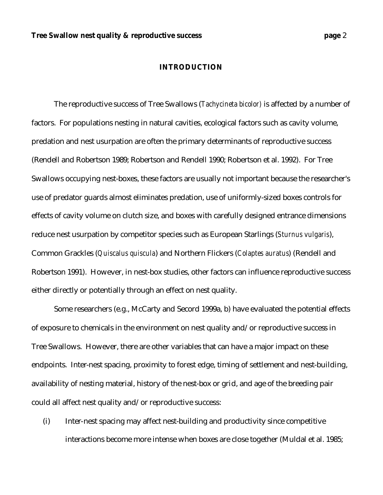#### **INTRODUCTION**

The reproductive success of Tree Swallows (*Tachycineta bicolor)* is affected by a number of factors. For populations nesting in natural cavities, ecological factors such as cavity volume, predation and nest usurpation are often the primary determinants of reproductive success (Rendell and Robertson 1989; Robertson and Rendell 1990; Robertson et al. 1992). For Tree Swallows occupying nest-boxes, these factors are usually not important because the researcher's use of predator guards almost eliminates predation, use of uniformly-sized boxes controls for effects of cavity volume on clutch size, and boxes with carefully designed entrance dimensions reduce nest usurpation by competitor species such as European Starlings (*Sturnus vulgaris*), Common Grackles (*Quiscalus quiscula*) and Northern Flickers (*Colaptes auratus*) (Rendell and Robertson 1991). However, in nest-box studies, other factors can influence reproductive success either directly or potentially through an effect on nest quality.

Some researchers (e.g., McCarty and Secord 1999a, b) have evaluated the potential effects of exposure to chemicals in the environment on nest quality and/or reproductive success in Tree Swallows. However, there are other variables that can have a major impact on these endpoints. Inter-nest spacing, proximity to forest edge, timing of settlement and nest-building, availability of nesting material, history of the nest-box or grid, and age of the breeding pair could all affect nest quality and/or reproductive success:

(i) Inter-nest spacing may affect nest-building and productivity since competitive interactions become more intense when boxes are close together (Muldal et al. 1985;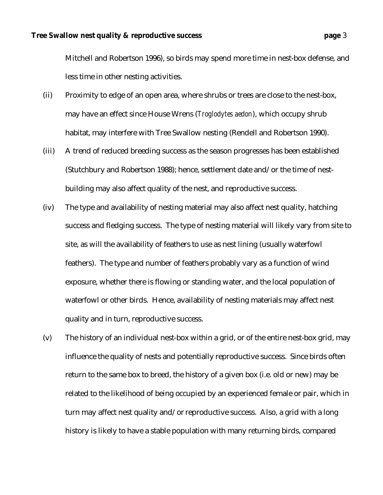Mitchell and Robertson 1996), so birds may spend more time in nest-box defense, and less time in other nesting activities.

- (ii) Proximity to edge of an open area, where shrubs or trees are close to the nest-box, may have an effect since House Wrens (*Troglodytes aedon*), which occupy shrub habitat, may interfere with Tree Swallow nesting (Rendell and Robertson 1990).
- (iii) A trend of reduced breeding success as the season progresses has been established (Stutchbury and Robertson 1988); hence, settlement date and/or the time of nestbuilding may also affect quality of the nest, and reproductive success.
- (iv) The type and availability of nesting material may also affect nest quality, hatching success and fledging success. The type of nesting material will likely vary from site to site, as will the availability of feathers to use as nest lining (usually waterfowl feathers). The type and number of feathers probably vary as a function of wind exposure, whether there is flowing or standing water, and the local population of waterfowl or other birds. Hence, availability of nesting materials may affect nest quality and in turn, reproductive success.
- (v) The history of an individual nest-box within a grid, or of the entire nest-box grid, may influence the quality of nests and potentially reproductive success. Since birds often return to the same box to breed, the history of a given box (i.e. old or new) may be related to the likelihood of being occupied by an experienced female or pair, which in turn may affect nest quality and/or reproductive success. Also, a grid with a long history is likely to have a stable population with many returning birds, compared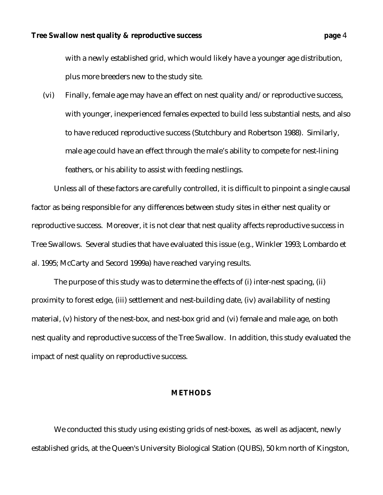with a newly established grid, which would likely have a younger age distribution, plus more breeders new to the study site.

(vi) Finally, female age may have an effect on nest quality and/or reproductive success, with younger, inexperienced females expected to build less substantial nests, and also to have reduced reproductive success (Stutchbury and Robertson 1988). Similarly, male age could have an effect through the male's ability to compete for nest-lining feathers, or his ability to assist with feeding nestlings.

Unless all of these factors are carefully controlled, it is difficult to pinpoint a single causal factor as being responsible for any differences between study sites in either nest quality or reproductive success. Moreover, it is not clear that nest quality affects reproductive success in Tree Swallows. Several studies that have evaluated this issue (e.g., Winkler 1993; Lombardo et al. 1995; McCarty and Secord 1999a) have reached varying results.

The purpose of this study was to determine the effects of (i) inter-nest spacing, (ii) proximity to forest edge, (iii) settlement and nest-building date, (iv) availability of nesting material, (v) history of the nest-box, and nest-box grid and (vi) female and male age, on both nest quality and reproductive success of the Tree Swallow. In addition, this study evaluated the impact of nest quality on reproductive success.

#### **METHODS**

We conducted this study using existing grids of nest-boxes, as well as adjacent, newly established grids, at the Queen's University Biological Station (QUBS), 50 km north of Kingston,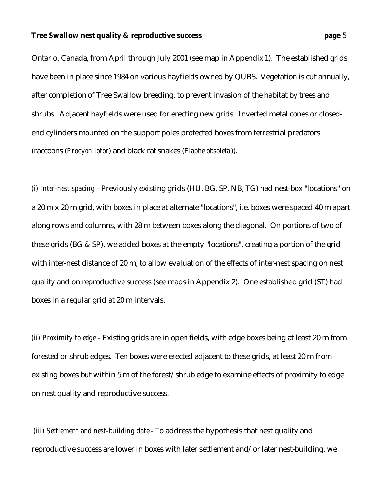Ontario, Canada, from April through July 2001 (see map in Appendix 1). The established grids have been in place since 1984 on various hayfields owned by QUBS. Vegetation is cut annually, after completion of Tree Swallow breeding, to prevent invasion of the habitat by trees and shrubs. Adjacent hayfields were used for erecting new grids. Inverted metal cones or closedend cylinders mounted on the support poles protected boxes from terrestrial predators (raccoons (*Procyon lotor*) and black rat snakes (*Elaphe obsoleta*)).

*(i) Inter-nest spacing* - Previously existing grids (HU, BG, SP, NB, TG) had nest-box "locations" on a 20 m x 20 m grid, with boxes in place at alternate "locations", i.e. boxes were spaced 40 m apart along rows and columns, with 28 m between boxes along the diagonal. On portions of two of these grids (BG & SP), we added boxes at the empty "locations", creating a portion of the grid with inter-nest distance of 20 m, to allow evaluation of the effects of inter-nest spacing on nest quality and on reproductive success (see maps in Appendix 2). One established grid (ST) had boxes in a regular grid at 20 m intervals.

*(ii) Proximity to edge* - Existing grids are in open fields, with edge boxes being at least 20 m from forested or shrub edges. Ten boxes were erected adjacent to these grids, at least 20 m from existing boxes but within 5 m of the forest/shrub edge to examine effects of proximity to edge on nest quality and reproductive success.

 *(iii) Settlement and nest-building date*- To address the hypothesis that nest quality and reproductive success are lower in boxes with later settlement and/or later nest-building, we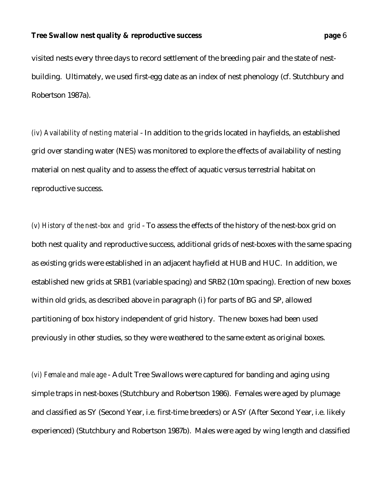visited nests every three days to record settlement of the breeding pair and the state of nestbuilding. Ultimately, we used first-egg date as an index of nest phenology (cf. Stutchbury and Robertson 1987a).

*(iv) Availability of nesting material* - In addition to the grids located in hayfields, an established grid over standing water (NES) was monitored to explore the effects of availability of nesting material on nest quality and to assess the effect of aquatic versus terrestrial habitat on reproductive success.

*(v) History of the nest-box and grid* - To assess the effects of the history of the nest-box grid on both nest quality and reproductive success, additional grids of nest-boxes with the same spacing as existing grids were established in an adjacent hayfield at HUB and HUC. In addition, we established new grids at SRB1 (variable spacing) and SRB2 (10m spacing). Erection of new boxes within old grids, as described above in paragraph (i) for parts of BG and SP, allowed partitioning of box history independent of grid history. The new boxes had been used previously in other studies, so they were weathered to the same extent as original boxes.

*(vi) Female and male age* - Adult Tree Swallows were captured for banding and aging using simple traps in nest-boxes (Stutchbury and Robertson 1986). Females were aged by plumage and classified as SY (Second Year, i.e. first-time breeders) or ASY (After Second Year, i.e. likely experienced) (Stutchbury and Robertson 1987b). Males were aged by wing length and classified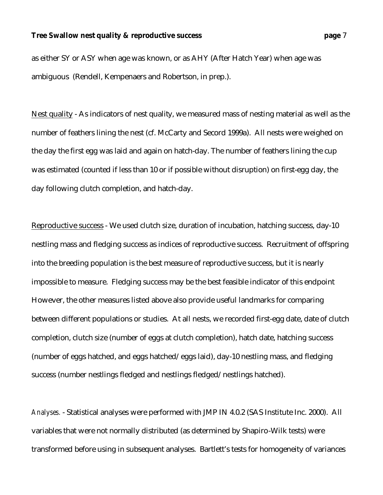as either SY or ASY when age was known, or as AHY (After Hatch Year) when age was ambiguous (Rendell, Kempenaers and Robertson, in prep.).

Nest quality - As indicators of nest quality, we measured mass of nesting material as well as the number of feathers lining the nest (cf. McCarty and Secord 1999a). All nests were weighed on the day the first egg was laid and again on hatch-day. The number of feathers lining the cup was estimated (counted if less than 10 or if possible without disruption) on first-egg day, the day following clutch completion, and hatch-day.

Reproductive success - We used clutch size, duration of incubation, hatching success, day-10 nestling mass and fledging success as indices of reproductive success. Recruitment of offspring into the breeding population is the best measure of reproductive success, but it is nearly impossible to measure. Fledging success may be the best feasible indicator of this endpoint However, the other measures listed above also provide useful landmarks for comparing between different populations or studies. At all nests, we recorded first-egg date, date of clutch completion, clutch size (number of eggs at clutch completion), hatch date, hatching success (number of eggs hatched, and eggs hatched/eggs laid), day-10 nestling mass, and fledging success (number nestlings fledged and nestlings fledged/nestlings hatched).

*Analyses.* - Statistical analyses were performed with JMP IN 4.0.2 (SAS Institute Inc. 2000). All variables that were not normally distributed (as determined by Shapiro-Wilk tests) were transformed before using in subsequent analyses. Bartlett's tests for homogeneity of variances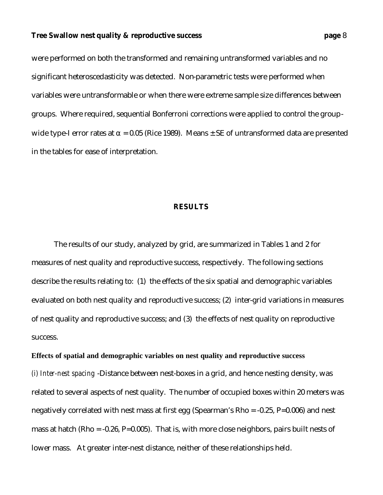were performed on both the transformed and remaining untransformed variables and no significant heteroscedasticity was detected. Non-parametric tests were performed when variables were untransformable or when there were extreme sample size differences between groups. Where required, sequential Bonferroni corrections were applied to control the groupwide type-I error rates at  $\alpha$  = 0.05 (Rice 1989). Means  $\pm$  SE of untransformed data are presented in the tables for ease of interpretation.

### **RESULTS**

The results of our study, analyzed by grid, are summarized in Tables 1 and 2 for measures of nest quality and reproductive success, respectively. The following sections describe the results relating to: (1) the effects of the six spatial and demographic variables evaluated on both nest quality and reproductive success; (2) inter-grid variations in measures of nest quality and reproductive success; and (3) the effects of nest quality on reproductive success.

### **Effects of spatial and demographic variables on nest quality and reproductive success**

*(i) Inter-nest spacing* -Distance between nest-boxes in a grid, and hence nesting density, was related to several aspects of nest quality. The number of occupied boxes within 20 meters was negatively correlated with nest mass at first egg (Spearman's Rho = -0.25, P=0.006) and nest mass at hatch (Rho =  $-0.26$ , P=0.005). That is, with more close neighbors, pairs built nests of lower mass. At greater inter-nest distance, neither of these relationships held.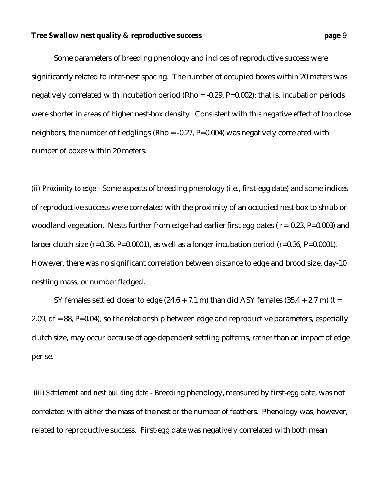Some parameters of breeding phenology and indices of reproductive success were significantly related to inter-nest spacing. The number of occupied boxes within 20 meters was negatively correlated with incubation period ( $Rho = -0.29$ ,  $P=0.002$ ); that is, incubation periods were shorter in areas of higher nest-box density. Consistent with this negative effect of too close neighbors, the number of fledglings (Rho = -0.27, P=0.004) was negatively correlated with number of boxes within 20 meters.

*(ii) Proximity to edge -* Some aspects of breeding phenology (i.e., first-egg date) and some indices of reproductive success were correlated with the proximity of an occupied nest-box to shrub or woodland vegetation. Nests further from edge had earlier first egg dates (r=-0.23, P=0.003) and larger clutch size  $(r=0.36, P=0.0001)$ , as well as a longer incubation period  $(r=0.36, P=0.0001)$ . However, there was no significant correlation between distance to edge and brood size, day-10 nestling mass, or number fledged.

SY females settled closer to edge  $(24.6 + 7.1 \text{ m})$  than did ASY females  $(35.4 + 2.7 \text{ m})$  (t = 2.09,  $df = 88$ , P=0.04), so the relationship between edge and reproductive parameters, especially clutch size, may occur because of age-dependent settling patterns, rather than an impact of edge per se.

 (*iii*) *Settlement and nest building date -* Breeding phenology, measured by first-egg date, was not correlated with either the mass of the nest or the number of feathers. Phenology was, however, related to reproductive success. First-egg date was negatively correlated with both mean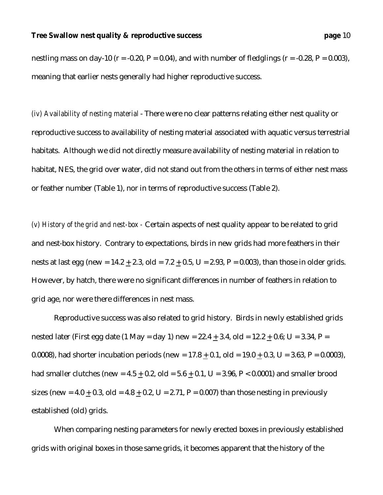nestling mass on day-10 ( $r = -0.20$ ,  $P = 0.04$ ), and with number of fledglings ( $r = -0.28$ ,  $P = 0.003$ ), meaning that earlier nests generally had higher reproductive success.

*(iv) Availability of nesting material* - There were no clear patterns relating either nest quality or reproductive success to availability of nesting material associated with aquatic versus terrestrial habitats. Although we did not directly measure availability of nesting material in relation to habitat, NES, the grid over water, did not stand out from the others in terms of either nest mass or feather number (Table 1), nor in terms of reproductive success (Table 2).

*(v) History of the grid and nest-box -* Certain aspects of nest quality appear to be related to grid and nest-box history.Contrary to expectations, birds in new grids had more feathers in their nests at last egg (new =  $14.2 + 2.3$ , old =  $7.2 + 0.5$ , U =  $2.93$ , P = 0.003), than those in older grids. However, by hatch, there were no significant differences in number of feathers in relation to grid age, nor were there differences in nest mass.

Reproductive success was also related to grid history. Birds in newly established grids nested later (First egg date (1 May = day 1) new =  $22.4 + 3.4$ , old =  $12.2 + 0.6$ ; U =  $3.34$ , P = 0.0008), had shorter incubation periods (new =  $17.8 + 0.1$ , old =  $19.0 + 0.3$ , U =  $3.63$ , P = 0.0003), had smaller clutches (new =  $4.5 + 0.2$ , old =  $5.6 + 0.1$ , U =  $3.96$ , P < 0.0001) and smaller brood sizes (new =  $4.0 + 0.3$ , old =  $4.8 + 0.2$ , U =  $2.71$ , P =  $0.007$ ) than those nesting in previously established (old) grids.

When comparing nesting parameters for newly erected boxes in previously established grids with original boxes in those same grids, it becomes apparent that the history of the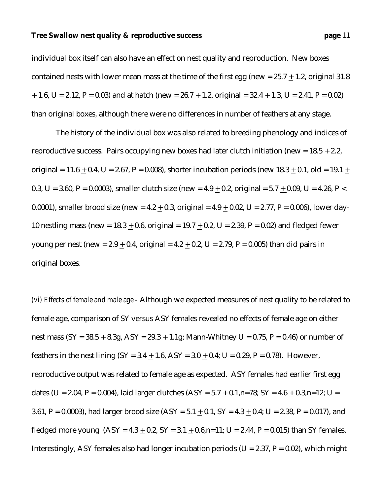individual box itself can also have an effect on nest quality and reproduction. New boxes contained nests with lower mean mass at the time of the first egg (new =  $25.7 + 1.2$ , original 31.8  $+ 1.6$ , U = 2.12, P = 0.03) and at hatch (new = 26.7 + 1.2, original = 32.4 + 1.3, U = 2.41, P = 0.02) than original boxes, although there were no differences in number of feathers at any stage.

 The history of the individual box was also related to breeding phenology and indices of reproductive success. Pairs occupying new boxes had later clutch initiation (new =  $18.5 + 2.2$ , original = 11.6 + 0.4, U = 2.67, P = 0.008), shorter incubation periods (new  $18.3 + 0.1$ , old = 19.1 + 0.3, U = 3.60, P = 0.0003), smaller clutch size (new =  $4.9 + 0.2$ , original =  $5.7 + 0.09$ , U =  $4.26$ , P < 0.0001), smaller brood size (new =  $4.2 + 0.3$ , original =  $4.9 + 0.02$ , U =  $2.77$ , P = 0.006), lower day-10 nestling mass (new =  $18.3 + 0.6$ , original =  $19.7 + 0.2$ , U =  $2.39$ , P = 0.02) and fledged fewer young per nest (new =  $2.9 + 0.4$ , original =  $4.2 + 0.2$ , U =  $2.79$ , P = 0.005) than did pairs in original boxes.

*(vi) Effects of female and male age -* Although we expected measures of nest quality to be related to female age, comparison of SY versus ASY females revealed no effects of female age on either nest mass  $(SY = 38.5 + 8.3g, ASY = 29.3 + 1.1g; Mann-Whitney U = 0.75, P = 0.46$  or number of feathers in the nest lining  $(SY = 3.4 + 1.6, ASY = 3.0 + 0.4; U = 0.29, P = 0.78)$ . However, reproductive output was related to female age as expected. ASY females had earlier first egg dates (U = 2.04, P = 0.004), laid larger clutches (ASY =  $5.7 + 0.1$ ,n=78; SY =  $4.6 + 0.3$ ,n=12; U = 3.61, P = 0.0003), had larger brood size  $(ASY = 5.1 + 0.1, SY = 4.3 + 0.4; U = 2.38, P = 0.017)$ , and fledged more young  $(ASY = 4.3 + 0.2, SY = 3.1 + 0.6, n=11; U = 2.44, P = 0.015)$  than SY females. Interestingly, ASY females also had longer incubation periods ( $U = 2.37$ ,  $P = 0.02$ ), which might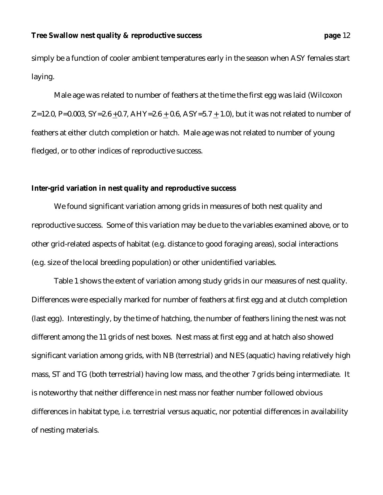simply be a function of cooler ambient temperatures early in the season when ASY females start laying.

Male age was related to number of feathers at the time the first egg was laid (Wilcoxon Z=12.0, P=0.003, SY=2.6 +0.7, AHY=2.6 + 0.6, ASY=5.7 + 1.0), but it was not related to number of feathers at either clutch completion or hatch. Male age was not related to number of young fledged, or to other indices of reproductive success.

#### **Inter-grid variation in nest quality and reproductive success**

We found significant variation among grids in measures of both nest quality and reproductive success. Some of this variation may be due to the variables examined above, or to other grid-related aspects of habitat (e.g. distance to good foraging areas), social interactions (e.g. size of the local breeding population) or other unidentified variables.

Table 1 shows the extent of variation among study grids in our measures of nest quality. Differences were especially marked for number of feathers at first egg and at clutch completion (last egg). Interestingly, by the time of hatching, the number of feathers lining the nest was not different among the 11 grids of nest boxes. Nest mass at first egg and at hatch also showed significant variation among grids, with NB (terrestrial) and NES (aquatic) having relatively high mass, ST and TG (both terrestrial) having low mass, and the other 7 grids being intermediate. It is noteworthy that neither difference in nest mass nor feather number followed obvious differences in habitat type, i.e. terrestrial versus aquatic, nor potential differences in availability of nesting materials.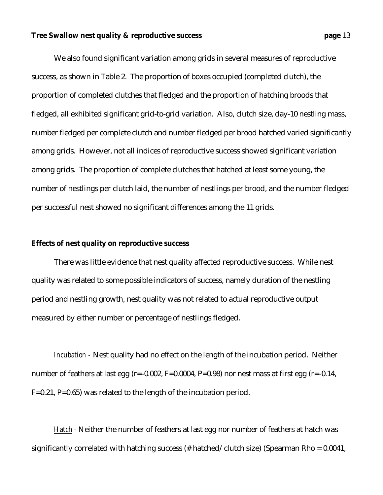We also found significant variation among grids in several measures of reproductive success, as shown in Table 2. The proportion of boxes occupied (completed clutch), the proportion of completed clutches that fledged and the proportion of hatching broods that fledged, all exhibited significant grid-to-grid variation. Also, clutch size, day-10 nestling mass, number fledged per complete clutch and number fledged per brood hatched varied significantly among grids. However, not all indices of reproductive success showed significant variation among grids. The proportion of complete clutches that hatched at least some young, the number of nestlings per clutch laid, the number of nestlings per brood, and the number fledged per successful nest showed no significant differences among the 11 grids.

#### **Effects of nest quality on reproductive success**

There was little evidence that nest quality affected reproductive success. While nest quality was related to some possible indicators of success, namely duration of the nestling period and nestling growth, nest quality was not related to actual reproductive output measured by either number or percentage of nestlings fledged.

*Incubation -* Nest quality had no effect on the length of the incubation period. Neither number of feathers at last egg (r=-0.002, F=0.0004, P=0.98) nor nest mass at first egg (r=-0.14, F=0.21, P=0.65) was related to the length of the incubation period.

*Hatch* - Neither the number of feathers at last egg nor number of feathers at hatch was significantly correlated with hatching success (# hatched/clutch size) (Spearman Rho =  $0.0041$ ,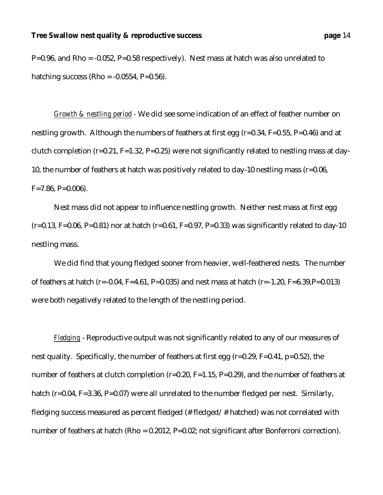P=0.96, and Rho = -0.052, P=0.58 respectively). Nest mass at hatch was also unrelated to hatching success (Rho =  $-0.0554$ , P=0.56).

*Growth & nestling period -* We did see some indication of an effect of feather number on nestling growth. Although the numbers of feathers at first egg (r=0.34, F=0.55, P=0.46) and at clutch completion ( $r=0.21$ ,  $F=1.32$ ,  $P=0.25$ ) were not significantly related to nestling mass at day-10, the number of feathers at hatch was positively related to day-10 nestling mass (r=0.06,  $F=7.86, P=0.006$ .

Nest mass did not appear to influence nestling growth. Neither nest mass at first egg  $(r=0.13, F=0.06, P=0.81)$  nor at hatch  $(r=0.61, F=0.97, P=0.33)$  was significantly related to day-10 nestling mass.

We did find that young fledged sooner from heavier, well-feathered nests. The number of feathers at hatch (r=-0.04, F=4.61, P=0.035) and nest mass at hatch (r=-1.20, F=6.39,P=0.013) were both negatively related to the length of the nestling period.

*Fledging* - Reproductive output was not significantly related to any of our measures of nest quality. Specifically, the number of feathers at first egg (r=0.29, F=0.41, p=0.52), the number of feathers at clutch completion (r=0.20, F=1.15, P=0.29), and the number of feathers at hatch (r=0.04, F=3.36, P=0.07) were all unrelated to the number fledged per nest. Similarly, fledging success measured as percent fledged (# fledged/# hatched) was not correlated with number of feathers at hatch (Rho = 0.2012, P=0.02; not significant after Bonferroni correction).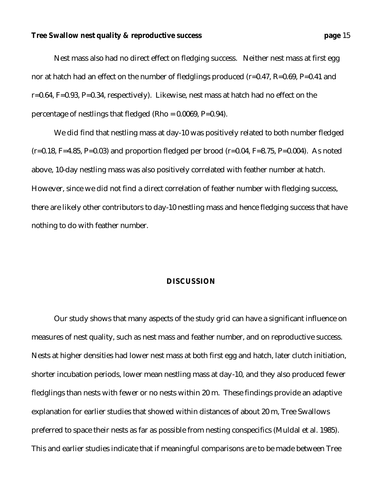Nest mass also had no direct effect on fledging success. Neither nest mass at first egg nor at hatch had an effect on the number of fledglings produced (r=0.47, R=0.69, P=0.41 and r=0.64, F=0.93, P=0.34, respectively). Likewise, nest mass at hatch had no effect on the percentage of nestlings that fledged (Rho =  $0.0069$ , P= $0.94$ ).

We did find that nestling mass at day-10 was positively related to both number fledged  $(r=0.18, F=4.85, P=0.03)$  and proportion fledged per brood  $(r=0.04, F=8.75, P=0.004)$ . As noted above, 10-day nestling mass was also positively correlated with feather number at hatch. However, since we did not find a direct correlation of feather number with fledging success, there are likely other contributors to day-10 nestling mass and hence fledging success that have nothing to do with feather number.

#### **DISCUSSION**

Our study shows that many aspects of the study grid can have a significant influence on measures of nest quality, such as nest mass and feather number, and on reproductive success. Nests at higher densities had lower nest mass at both first egg and hatch, later clutch initiation, shorter incubation periods, lower mean nestling mass at day-10, and they also produced fewer fledglings than nests with fewer or no nests within 20 m. These findings provide an adaptive explanation for earlier studies that showed within distances of about 20 m, Tree Swallows preferred to space their nests as far as possible from nesting conspecifics (Muldal et al. 1985). This and earlier studies indicate that if meaningful comparisons are to be made between Tree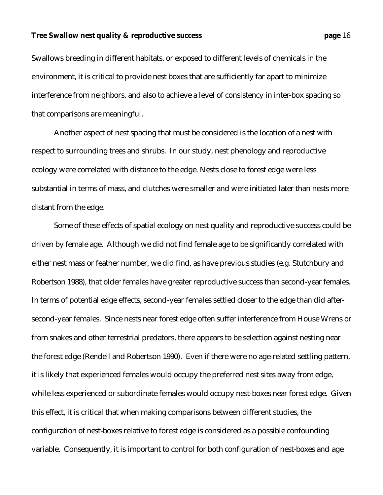Swallows breeding in different habitats, or exposed to different levels of chemicals in the environment, it is critical to provide nest boxes that are sufficiently far apart to minimize interference from neighbors, and also to achieve a level of consistency in inter-box spacing so that comparisons are meaningful.

Another aspect of nest spacing that must be considered is the location of a nest with respect to surrounding trees and shrubs. In our study, nest phenology and reproductive ecology were correlated with distance to the edge. Nests close to forest edge were less substantial in terms of mass, and clutches were smaller and were initiated later than nests more distant from the edge.

Some of these effects of spatial ecology on nest quality and reproductive success could be driven by female age. Although we did not find female age to be significantly correlated with either nest mass or feather number, we did find, as have previous studies (e.g. Stutchbury and Robertson 1988), that older females have greater reproductive success than second-year females. In terms of potential edge effects, second-year females settled closer to the edge than did aftersecond-year females. Since nests near forest edge often suffer interference from House Wrens or from snakes and other terrestrial predators, there appears to be selection against nesting near the forest edge (Rendell and Robertson 1990). Even if there were no age-related settling pattern, it is likely that experienced females would occupy the preferred nest sites away from edge, while less experienced or subordinate females would occupy nest-boxes near forest edge. Given this effect, it is critical that when making comparisons between different studies, the configuration of nest-boxes relative to forest edge is considered as a possible confounding variable. Consequently, it is important to control for both configuration of nest-boxes and age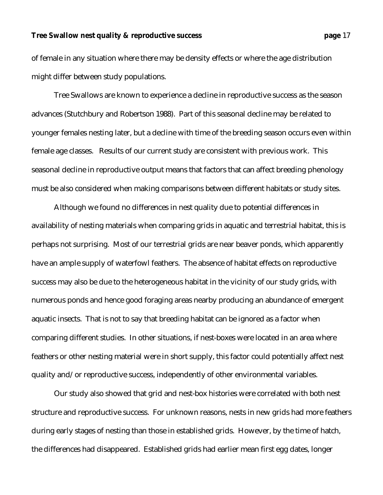of female in any situation where there may be density effects or where the age distribution might differ between study populations.

Tree Swallows are known to experience a decline in reproductive success as the season advances (Stutchbury and Robertson 1988). Part of this seasonal decline may be related to younger females nesting later, but a decline with time of the breeding season occurs even within female age classes. Results of our current study are consistent with previous work. This seasonal decline in reproductive output means that factors that can affect breeding phenology must be also considered when making comparisons between different habitats or study sites.

Although we found no differences in nest quality due to potential differences in availability of nesting materials when comparing grids in aquatic and terrestrial habitat, this is perhaps not surprising. Most of our terrestrial grids are near beaver ponds, which apparently have an ample supply of waterfowl feathers. The absence of habitat effects on reproductive success may also be due to the heterogeneous habitat in the vicinity of our study grids, with numerous ponds and hence good foraging areas nearby producing an abundance of emergent aquatic insects. That is not to say that breeding habitat can be ignored as a factor when comparing different studies. In other situations, if nest-boxes were located in an area where feathers or other nesting material were in short supply, this factor could potentially affect nest quality and/or reproductive success, independently of other environmental variables.

Our study also showed that grid and nest-box histories were correlated with both nest structure and reproductive success. For unknown reasons, nests in new grids had more feathers during early stages of nesting than those in established grids. However, by the time of hatch, the differences had disappeared. Established grids had earlier mean first egg dates, longer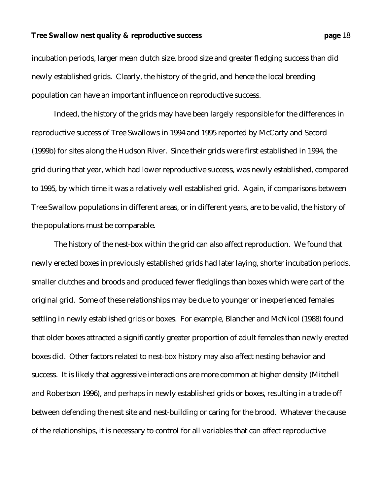incubation periods, larger mean clutch size, brood size and greater fledging success than did newly established grids. Clearly, the history of the grid, and hence the local breeding population can have an important influence on reproductive success.

Indeed, the history of the grids may have been largely responsible for the differences in reproductive success of Tree Swallows in 1994 and 1995 reported by McCarty and Secord (1999b) for sites along the Hudson River. Since their grids were first established in 1994, the grid during that year, which had lower reproductive success, was newly established, compared to 1995, by which time it was a relatively well established grid. Again, if comparisons between Tree Swallow populations in different areas, or in different years, are to be valid, the history of the populations must be comparable.

The history of the nest-box within the grid can also affect reproduction. We found that newly erected boxes in previously established grids had later laying, shorter incubation periods, smaller clutches and broods and produced fewer fledglings than boxes which were part of the original grid. Some of these relationships may be due to younger or inexperienced females settling in newly established grids or boxes. For example, Blancher and McNicol (1988) found that older boxes attracted a significantly greater proportion of adult females than newly erected boxes did. Other factors related to nest-box history may also affect nesting behavior and success. It is likely that aggressive interactions are more common at higher density (Mitchell and Robertson 1996), and perhaps in newly established grids or boxes, resulting in a trade-off between defending the nest site and nest-building or caring for the brood. Whatever the cause of the relationships, it is necessary to control for all variables that can affect reproductive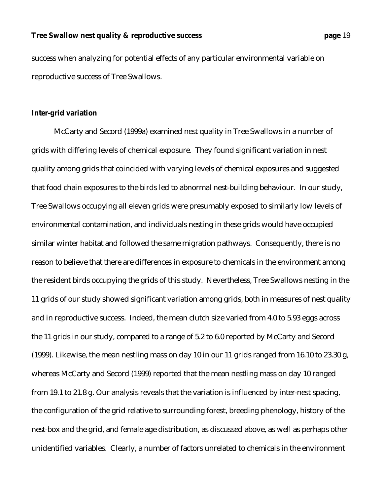success when analyzing for potential effects of any particular environmental variable on reproductive success of Tree Swallows.

### **Inter-grid variation**

McCarty and Secord (1999a) examined nest quality in Tree Swallows in a number of grids with differing levels of chemical exposure. They found significant variation in nest quality among grids that coincided with varying levels of chemical exposures and suggested that food chain exposures to the birds led to abnormal nest-building behaviour. In our study, Tree Swallows occupying all eleven grids were presumably exposed to similarly low levels of environmental contamination, and individuals nesting in these grids would have occupied similar winter habitat and followed the same migration pathways. Consequently, there is no reason to believe that there are differences in exposure to chemicals in the environment among the resident birds occupying the grids of this study. Nevertheless, Tree Swallows nesting in the 11 grids of our study showed significant variation among grids, both in measures of nest quality and in reproductive success. Indeed, the mean clutch size varied from 4.0 to 5.93 eggs across the 11 grids in our study, compared to a range of 5.2 to 6.0 reported by McCarty and Secord (1999). Likewise, the mean nestling mass on day 10 in our 11 grids ranged from 16.10 to 23.30 g, whereas McCarty and Secord (1999) reported that the mean nestling mass on day 10 ranged from 19.1 to 21.8 g. Our analysis reveals that the variation is influenced by inter-nest spacing, the configuration of the grid relative to surrounding forest, breeding phenology, history of the nest-box and the grid, and female age distribution, as discussed above, as well as perhaps other unidentified variables. Clearly, a number of factors unrelated to chemicals in the environment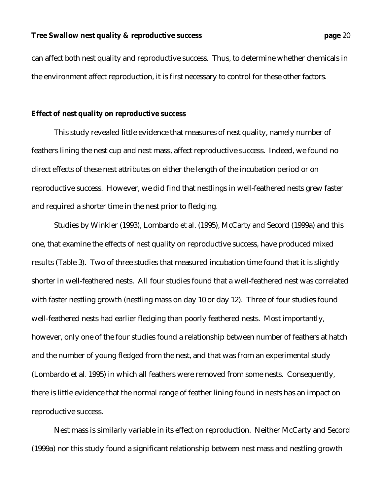can affect both nest quality and reproductive success. Thus, to determine whether chemicals in the environment affect reproduction, it is first necessary to control for these other factors.

#### **Effect of nest quality on reproductive success**

This study revealed little evidence that measures of nest quality, namely number of feathers lining the nest cup and nest mass, affect reproductive success. Indeed, we found no direct effects of these nest attributes on either the length of the incubation period or on reproductive success. However, we did find that nestlings in well-feathered nests grew faster and required a shorter time in the nest prior to fledging.

Studies by Winkler (1993), Lombardo et al. (1995), McCarty and Secord (1999a) and this one, that examine the effects of nest quality on reproductive success, have produced mixed results (Table 3). Two of three studies that measured incubation time found that it is slightly shorter in well-feathered nests. All four studies found that a well-feathered nest was correlated with faster nestling growth (nestling mass on day 10 or day 12). Three of four studies found well-feathered nests had earlier fledging than poorly feathered nests. Most importantly, however, only one of the four studies found a relationship between number of feathers at hatch and the number of young fledged from the nest, and that was from an experimental study (Lombardo et al. 1995) in which all feathers were removed from some nests. Consequently, there is little evidence that the normal range of feather lining found in nests has an impact on reproductive success.

Nest mass is similarly variable in its effect on reproduction. Neither McCarty and Secord (1999a) nor this study found a significant relationship between nest mass and nestling growth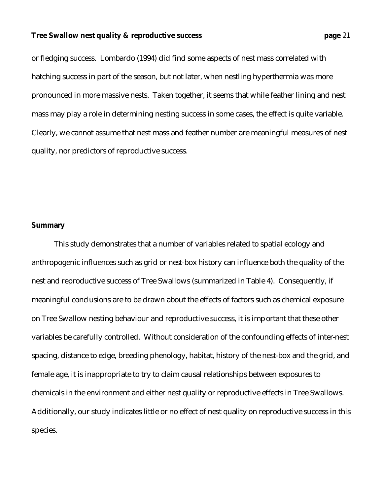or fledging success. Lombardo (1994) did find some aspects of nest mass correlated with hatching success in part of the season, but not later, when nestling hyperthermia was more pronounced in more massive nests. Taken together, it seems that while feather lining and nest mass may play a role in determining nesting success in some cases, the effect is quite variable. Clearly, we cannot assume that nest mass and feather number are meaningful measures of nest quality, nor predictors of reproductive success.

#### **Summary**

This study demonstrates that a number of variables related to spatial ecology and anthropogenic influences such as grid or nest-box history can influence both the quality of the nest and reproductive success of Tree Swallows (summarized in Table 4). Consequently, if meaningful conclusions are to be drawn about the effects of factors such as chemical exposure on Tree Swallow nesting behaviour and reproductive success, it is important that these other variables be carefully controlled. Without consideration of the confounding effects of inter-nest spacing, distance to edge, breeding phenology, habitat, history of the nest-box and the grid, and female age, it is inappropriate to try to claim causal relationships between exposures to chemicals in the environment and either nest quality or reproductive effects in Tree Swallows. Additionally, our study indicates little or no effect of nest quality on reproductive success in this species.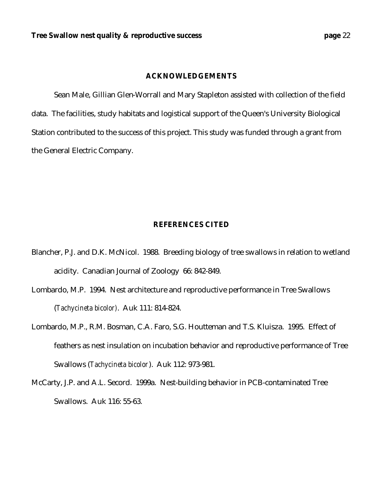#### **ACKNOWLEDGEMENTS**

Sean Male, Gillian Glen-Worrall and Mary Stapleton assisted with collection of the field data. The facilities, study habitats and logistical support of the Queen's University Biological Station contributed to the success of this project. This study was funded through a grant from the General Electric Company.

### **REFERENCES CITED**

- Blancher, P.J. and D.K. McNicol. 1988. Breeding biology of tree swallows in relation to wetland acidity. Canadian Journal of Zoology 66: 842-849.
- Lombardo, M.P. 1994. Nest architecture and reproductive performance in Tree Swallows (*Tachycineta bicolor)*. Auk 111: 814-824.
- Lombardo, M.P., R.M. Bosman, C.A. Faro, S.G. Houtteman and T.S. Kluisza. 1995. Effect of feathers as nest insulation on incubation behavior and reproductive performance of Tree Swallows (*Tachycineta bicolor*). Auk 112: 973-981.
- McCarty, J.P. and A.L. Secord. 1999a. Nest-building behavior in PCB-contaminated Tree Swallows. Auk 116: 55-63.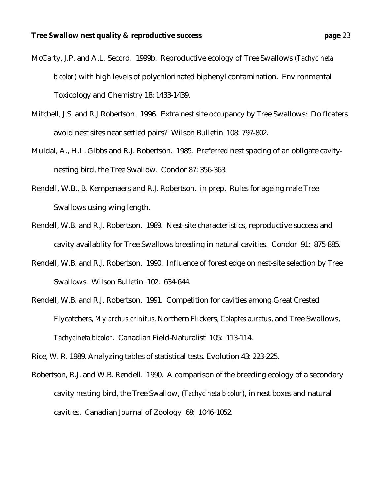- McCarty, J.P. and A.L. Secord. 1999b. Reproductive ecology of Tree Swallows (*Tachycineta bicolor*) with high levels of polychlorinated biphenyl contamination. Environmental Toxicology and Chemistry 18: 1433-1439.
- Mitchell, J.S. and R.J.Robertson. 1996. Extra nest site occupancy by Tree Swallows: Do floaters avoid nest sites near settled pairs? Wilson Bulletin 108: 797-802.
- Muldal, A., H.L. Gibbs and R.J. Robertson. 1985. Preferred nest spacing of an obligate cavitynesting bird, the Tree Swallow. Condor 87: 356-363.
- Rendell, W.B., B. Kempenaers and R.J. Robertson. in prep. Rules for ageing male Tree Swallows using wing length.
- Rendell, W.B. and R.J. Robertson. 1989. Nest-site characteristics, reproductive success and cavity availablity for Tree Swallows breeding in natural cavities. Condor 91: 875-885.
- Rendell, W.B. and R.J. Robertson. 1990. Influence of forest edge on nest-site selection by Tree Swallows. Wilson Bulletin 102: 634-644.
- Rendell, W.B. and R.J. Robertson. 1991. Competition for cavities among Great Crested Flycatchers, *Myiarchus crinitus*, Northern Flickers, *Colaptes auratus*, and Tree Swallows, *Tachycineta bicolor*. Canadian Field-Naturalist 105: 113-114.

Rice, W. R. 1989. Analyzing tables of statistical tests. Evolution 43: 223-225.

Robertson, R.J. and W.B. Rendell. 1990. A comparison of the breeding ecology of a secondary cavity nesting bird, the Tree Swallow, (*Tachycineta bicolor*), in nest boxes and natural cavities. Canadian Journal of Zoology 68: 1046-1052.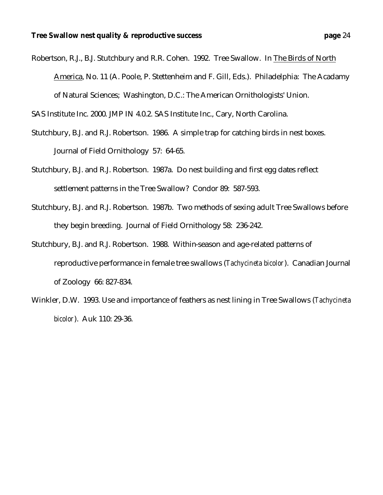Robertson, R.J., B.J. Stutchbury and R.R. Cohen. 1992. Tree Swallow. In The Birds of North America, No. 11 (A. Poole, P. Stettenheim and F. Gill, Eds.). Philadelphia: The Acadamy of Natural Sciences; Washington, D.C.: The American Ornithologists' Union.

SAS Institute Inc. 2000. JMP IN 4.0.2. SAS Institute Inc., Cary, North Carolina.

- Stutchbury, B.J. and R.J. Robertson. 1986. A simple trap for catching birds in nest boxes. Journal of Field Ornithology 57: 64-65.
- Stutchbury, B.J. and R.J. Robertson. 1987a. Do nest building and first egg dates reflect settlement patterns in the Tree Swallow? Condor 89: 587-593.
- Stutchbury, B.J. and R.J. Robertson. 1987b. Two methods of sexing adult Tree Swallows before they begin breeding. Journal of Field Ornithology 58: 236-242.
- Stutchbury, B.J. and R.J. Robertson. 1988. Within-season and age-related patterns of reproductive performance in female tree swallows (*Tachycineta bicolor*). Canadian Journal of Zoology 66: 827-834.
- Winkler, D.W. 1993. Use and importance of feathers as nest lining in Tree Swallows (*Tachycineta bicolor*). Auk 110: 29-36.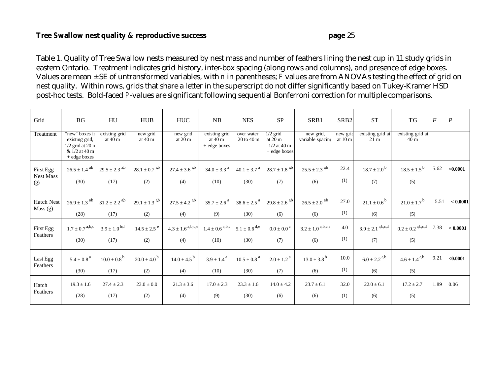Table 1. Quality of Tree Swallow nests measured by nest mass and number of feathers lining the nest cup in 11 study grids in eastern Ontario. Treatment indicates grid history, inter-box spacing (along rows and columns), and presence of edge boxes. Values are mean ± SE of untransformed variables, with *n* in parentheses; *F* values are from ANOVAs testing the effect of grid on nest quality. Within rows, grids that share a letter in the superscript do not differ significantly based on Tukey-Kramer HSD post-hoc tests. Bold-faced *P*-values are significant following sequential Bonferroni correction for multiple comparisons.

| Grid                                 | <b>BG</b>                                                                                           | HU                                    | <b>HUB</b>                           | <b>HUC</b>                              | NB                                        | <b>NES</b>                           | <b>SP</b>                                                        | SRB1                                | SRB <sub>2</sub>              | <b>ST</b>                               | TG                                      | $\cal F$ | $\overline{P}$ |
|--------------------------------------|-----------------------------------------------------------------------------------------------------|---------------------------------------|--------------------------------------|-----------------------------------------|-------------------------------------------|--------------------------------------|------------------------------------------------------------------|-------------------------------------|-------------------------------|-----------------------------------------|-----------------------------------------|----------|----------------|
| Treatment                            | "new" boxes in<br>existing grid,<br>$1/2$ grid at 20 n<br>& $1/2$ at $40 \text{ m}$<br>+ edge boxes | existing grid<br>at $40 \text{ m}$    | new grid<br>at $40 \text{ m}$        | new grid<br>at 20 m                     | existing grid<br>at $40m$<br>+ edge boxes | over water<br>$20$ to $40$ m         | $1/2$ grid<br>at $20 \text{ m}$<br>$1/2$ at 40 m<br>+ edge boxes | new grid,<br>variable spacing       | new gric<br>at $10 \text{ m}$ | existing grid at<br>$21 \text{ m}$      | existing grid at<br>40 <sub>m</sub>     |          |                |
| First Egg<br><b>Nest Mass</b><br>(g) | $26.5 \pm 1.4$ <sup>a,b</sup><br>(30)                                                               | $29.5 \pm 2.3$ <sup>a,b</sup><br>(17) | $28.1 \pm 0.7$ <sup>a,b</sup><br>(2) | $27.4 \pm 3.6$ <sup>ab</sup><br>(4)     | $34.0 \pm 3.3$ <sup>a</sup><br>(10)       | $40.1 \pm 3.7^{\circ}$<br>(30)       | $28.7 \pm 1.8$ <sup>ab</sup><br>(7)                              | $25.5 \pm 2.3$ <sup>ab</sup><br>(6) | 22.4<br>(1)                   | $18.7 \pm 2.0^{\mathrm{b}}$<br>(7)      | $18.5 \pm 1.5^{\mathrm{b}}$<br>(5)      | 5.62     | < 0.0001       |
| Hatch Nest<br>Mass $(g)$             | $26.9 \pm 1.3$ <sup>a,b</sup><br>(28)                                                               | $31.2 \pm 2.2$ <sup>ab</sup><br>(17)  | $29.1 \pm 1.3$ <sup>ab</sup><br>(2)  | $27.5 \pm 4.2$ <sup>ab</sup><br>(4)     | $35.7 \pm 2.6$ <sup>a</sup><br>(9)        | $38.6 \pm 2.5$ <sup>a</sup><br>(30)  | $29.8 \pm 2.6$ <sup>ab</sup><br>(6)                              | $26.5 \pm 2.0$ <sup>ab</sup><br>(6) | 27.0<br>(1)                   | $21.1 \pm 0.6^{\circ}$<br>(6)           | $21.0 \pm 1.7$ <sup>b</sup><br>(5)      | 5.51     | < 0.0001       |
| First Egg<br>Feathers                | $1.7 \pm 0.7$ <sup>a,b,c</sup><br>(30)                                                              | $3.9 \pm 1.0^{b,d}$<br>(17)           | $14.5 \pm 2.5$ <sup>e</sup><br>(2)   | $4.3 \pm 1.6$ <sup>a,b,c,e</sup><br>(4) | $1.4 \pm 0.6$ <sup>a,b,d</sup><br>(10)    | $5.1 \pm 0.6$ <sup>d,e</sup><br>(30) | $0.0 \pm 0.0$ <sup>c</sup><br>(7)                                | $3.2 \pm 1.0^{a,b,c,e}$<br>(6)      | 4.0<br>(1)                    | $3.9 \pm 2.1$ <sup>a,b,c,d</sup><br>(7) | $0.2 \pm 0.2$ <sup>a,b,c,d</sup><br>(5) | 7.38     | < 0.0001       |
| Last Egg<br>Feathers                 | $5.4\pm0.8$ $^{\rm a}$<br>(30)                                                                      | $10.0 \pm 0.8^{b}$<br>(17)            | $20.0 \pm 4.0^{\circ}$<br>(2)        | $14.0 \pm 4.5^{b}$<br>(4)               | $3.9 \pm 1.4^{\text{a}}$<br>(10)          | $10.5 \pm 0.8$ <sup>a</sup><br>(30)  | $2.0 \pm 1.2$ <sup>a</sup><br>(7)                                | $13.0 \pm 3.8^{\rm b}$<br>(6)       | 10.0<br>(1)                   | $6.0 \pm 2.2$ <sup>a,b</sup><br>(6)     | $4.6 \pm 1.4^{a,b}$<br>(5)              | 9.21     | < 0.0001       |
| Hatch<br>Feathers                    | $19.3 \pm 1.6$<br>(28)                                                                              | $27.4 \pm 2.3$<br>(17)                | $23.0 \pm 0.0$<br>(2)                | $21.3 \pm 3.6$<br>(4)                   | $17.0 \pm 2.3$<br>(9)                     | $23.3 \pm 1.6$<br>(30)               | $14.0 \pm 4.2$<br>(6)                                            | $23.7 \pm 6.1$<br>(6)               | 32.0<br>(1)                   | $22.0 \pm 6.1$<br>(6)                   | $17.2 \pm 2.7$<br>(5)                   | 1.89     | 0.06           |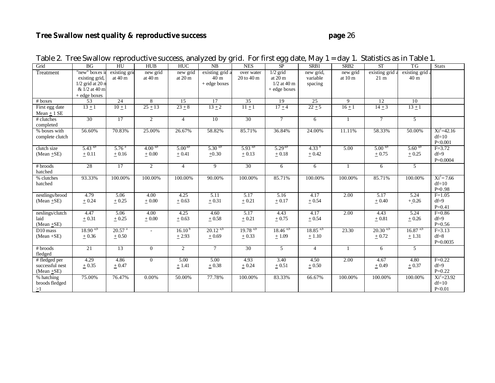| Grid                                                | BG                                                                                      | HU                                 | <b>HUB</b>           | <b>HUC</b>                    | NB                                                 | <b>NES</b>                   | SP                                                      | SRB1                             | SRB <sub>2</sub>     | <b>ST</b>                         | TG                                 | <b>Stats</b>                         |
|-----------------------------------------------------|-----------------------------------------------------------------------------------------|------------------------------------|----------------------|-------------------------------|----------------------------------------------------|------------------------------|---------------------------------------------------------|----------------------------------|----------------------|-----------------------------------|------------------------------------|--------------------------------------|
| Treatment                                           | "new" boxes in<br>existing grid,<br>$1/2$ grid at 20 n<br>& 1/2 at 40 m<br>+ edge boxes | existing grid<br>at $40 \text{ m}$ | new grid<br>at $40m$ | new grid<br>at $20 \text{ m}$ | existing grid a<br>40 <sub>m</sub><br>+ edge boxes | over water<br>$20$ to $40$ m | $1/2$ grid<br>at $20m$<br>$1/2$ at 40 m<br>+ edge boxes | new grid,<br>variable<br>spacing | new grid<br>at $10m$ | existing grid a<br>$21 \text{ m}$ | existing grid a<br>40 <sub>m</sub> |                                      |
| # boxes                                             | $\overline{53}$                                                                         | 24                                 | $\overline{8}$       | $\overline{15}$               | $\overline{17}$                                    | 35                           | 19                                                      | 25                               | 9                    | 12                                | 10                                 |                                      |
| First egg date<br>Mean $\pm$ 1 SE                   | $13 \pm 1$                                                                              | $10+1$                             | $25 + 13$            | $23 + 8$                      | $13 + 2$                                           | $11 + 1$                     | $17 + 4$                                                | $22 + 5$                         | $16 + 1$             | $14 + 3$                          | $13 \pm 1$                         |                                      |
| # clutches<br>completed                             | 30                                                                                      | 17                                 | $\overline{2}$       | $\overline{4}$                | 10                                                 | 30                           | $\tau$                                                  | 6                                | $\mathbf{1}$         | $\tau$                            | 5                                  |                                      |
| % boxes with<br>complete clutch                     | 56.60%                                                                                  | 70.83%                             | 25.00%               | 26.67%                        | 58.82%                                             | 85.71%                       | 36.84%                                                  | 24.00%                           | 11.11%               | 58.33%                            | 50.00%                             | $Xi^2=42.16$<br>$df=10$<br>P<0.001   |
| clutch size                                         | $5.43^{a,b}$                                                                            | 5.76 <sup>a</sup>                  | $4.00^{a,b}$         | $5.00^{4b}$                   | $5.30^{4b}$                                        | $5.93^{ab}$                  | $5.29^{ab}$                                             | 4.33 $b$                         | 5.00                 | $5.00^{4b}$                       | $5.60^{4b}$                        | $F = 3.72$                           |
| $(Mean + SE)$                                       | $\pm 0.11$                                                                              | $\pm 0.16$                         | $+0.00$              | $\pm 0.41$                    | $+0.30$                                            | $\pm 0.13$                   | $\pm 0.18$                                              | $\pm 0.42$                       |                      | $+0.75$                           | $\pm$ 0.25                         | $df=9$<br>$P=0.0004$                 |
| $#$ broods<br>hatched                               | 28                                                                                      | $\overline{17}$                    | $\overline{2}$       | $\overline{4}$                | $\overline{9}$                                     | 30                           | 6                                                       | 6                                |                      | 6                                 | $\overline{5}$                     |                                      |
| % clutches<br>hatched                               | 93.33%                                                                                  | 100.00%                            | 100.00%              | 100.00%                       | 90.00%                                             | 100.00%                      | 85.71%                                                  | 100.00%                          | 100.00%              | 85.71%                            | 100.00%                            | $Xi^2 = 7.66$<br>$df=10$<br>$P=0.98$ |
| nestlings/brood<br>$(Mean + SE)$                    | 4.79<br>$+0.24$                                                                         | 5.06<br>$+0.25$                    | 4.00<br>$+0.00$      | 4.25<br>$+0.63$               | 5.11<br>$+0.31$                                    | 5.17<br>$\pm$ 0.21           | 5.16<br>$\pm 0.17$                                      | 4.17<br>$\pm 0.54$               | 2.00                 | 5.17<br>$+0.40$                   | 5.24<br>$+0.26$                    | $F=1.05$<br>$df=9$<br>$P = 0.41$     |
| neslings/clutch<br>laid<br>$(Mean + SE)$            | 4.47<br>$+0.31$                                                                         | 5.06<br>$\pm$ 0.25                 | 4.00<br>$+0.00$      | 4.25<br>$\pm 0.63$            | 4.60<br>$\pm 0.58$                                 | 5.17<br>$\pm$ 0.21           | 4.43<br>$\pm 0.75$                                      | 4.17<br>$\pm$ 0.54               | 2.00                 | 4.43<br>$\pm$ 0.81                | 5.24<br>$\pm 0.26$                 | $F = 0.86$<br>$df=9$<br>$P=0.56$     |
| D <sub>10</sub> mass<br>$(Mean + SE)$               | $18.90^{a,b}$<br>$+0.36$                                                                | $20.57$ <sup>a</sup><br>$\pm 0.50$ | $\sim$               | $16.10^{t}$<br>$+2.93$        | $20.12^{a,b}$<br>$\pm 0.69$                        | $19.78^{a,b}$<br>$+0.33$     | $18.46$ <sup>a,t</sup><br>±1.09                         | $18.85^{a,b}$<br>$\pm 1.10$      | 23.30                | $20.30^{a,b}$<br>$+0.72$          | $16.87^{a,b}$<br>$+1.31$           | $F = 3.13$<br>$df=8$<br>$P=0.0035$   |
| # broods<br>fledged                                 | 21                                                                                      | 13                                 | $\theta$             | 2                             | $\tau$                                             | 30                           | 5                                                       | $\overline{4}$                   | $\overline{1}$       | 6                                 | 5                                  |                                      |
| # fledged per<br>successful nest<br>(Mean $\pm$ SE) | 4.29<br>$\pm 0.35$                                                                      | 4.86<br>$+0.47$                    | $\overline{0}$       | 5.00<br>± 1.41                | 5.00<br>$\pm$ 0.38                                 | 4.93<br>$+0.24$              | 3.40<br>$\pm$ 0.51                                      | 4.50<br>$+0.50$                  | 2.00                 | 4.67<br>$+0.49$                   | 4.80<br>$\pm 0.37$                 | $F=0.22$<br>$df=9$<br>$P=0.22$       |
| % hatching<br>broods fledged<br>>1                  | 75.00%                                                                                  | 76.47%                             | $0.00\%$             | 50.00%                        | 77.78%                                             | 100.00%                      | 83.33%                                                  | 66.67%                           | 100.00%              | 100.00%                           | 100.00%                            | $Xi^2 = 23.92$<br>$df=10$<br>P<0.01  |

|  |  |  | Table 2. Tree Swallow reproductive success, analyzed by grid. For first egg date, May 1 = day 1. Statistics as in Table 1. |
|--|--|--|----------------------------------------------------------------------------------------------------------------------------|
|  |  |  |                                                                                                                            |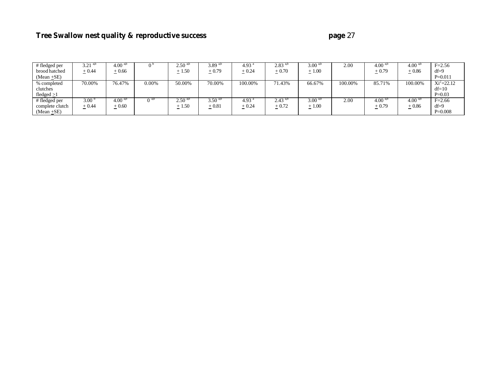| # fledged per   | $3.21^{a,b}$ | $4.00^{4,0}$ |          | $2.50^{4,0}$ | 3.89 $a$ <sup>b</sup> | 4.93 <sup>°</sup> | $2.83^{4,6}$ | $3.00^{4,b}$ | 2.00    | $4.00^{4,0}$ | $4.00^{4,0}$ | $F = 2.56$     |
|-----------------|--------------|--------------|----------|--------------|-----------------------|-------------------|--------------|--------------|---------|--------------|--------------|----------------|
| brood hatched   | $+0.44$      | $+0.66$      |          | $+1.50$      | $+0.79$               | $+0.24$           | $\pm 0.70$   | $+1.00$      |         | $+0.79$      | $+0.86$      | $df=9$         |
| $(Mean + SE)$   |              |              |          |              |                       |                   |              |              |         |              |              | $P=0.011$      |
| % completed     | 70.00%       | 76.47%       | $0.00\%$ | 50.00%       | 70.00%                | 100.00%           | 71.43%       | 66.67%       | 100.00% | 85.71%       | 100.00%      | $Xi^2 = 22.12$ |
| clutches        |              |              |          |              |                       |                   |              |              |         |              |              | $df=10$        |
| fledged >1      |              |              |          |              |                       |                   |              |              |         |              |              | $P=0.03$       |
| # fledged per   | 3.00         | $4.00^{4,0}$ |          | $2.50^{4,0}$ | $3.50^{\text{ }ab}$   | 4.93              | $2.43^{a,b}$ | $3.00^{4,6}$ | 2.00    | $4.00^{4,6}$ | $4.00^{4,0}$ | $F=2.66$       |
| complete clutch | $+0.44$      | $-0.60$      |          | $+1.50$      | $+0.81$               | $+0.24$           | $\pm 0.72$   | $+1.00$      |         | $+0.79$      | $+0.86$      | $df=9$         |
| (Mean $\pm$ SE) |              |              |          |              |                       |                   |              |              |         |              |              | $P=0.008$      |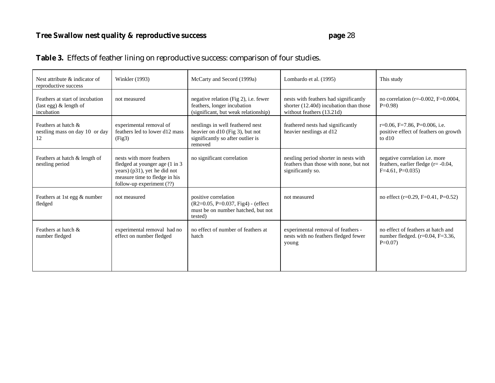## **Table 3.** Effects of feather lining on reproductive success: comparison of four studies.

| Nest attribute & indicator of<br>reproductive success                     | <b>Winkler</b> (1993)                                                                                                                                     | McCarty and Secord (1999a)                                                                                          | Lombardo et al. (1995)                                                                                       | This study                                                                                            |
|---------------------------------------------------------------------------|-----------------------------------------------------------------------------------------------------------------------------------------------------------|---------------------------------------------------------------------------------------------------------------------|--------------------------------------------------------------------------------------------------------------|-------------------------------------------------------------------------------------------------------|
| Feathers at start of incubation<br>(last egg) $&$ length of<br>incubation | not measured                                                                                                                                              | negative relation (Fig 2), <i>i.e.</i> fewer<br>feathers, longer incubation<br>(significant, but weak relationship) | nests with feathers had significantly<br>shorter (12.40d) incubation than those<br>without feathers (13.21d) | no correlation ( $r = -0.002$ , $F = 0.0004$ ,<br>$P=0.98$                                            |
| Feathers at hatch &<br>nestling mass on day 10 or day<br>12               | experimental removal of<br>feathers led to lower d12 mass<br>(Fig3)                                                                                       | nestlings in well feathered nest<br>heavier on d10 (Fig 3), but not<br>significantly so after outlier is<br>removed | feathered nests had significantly<br>heavier nestlings at d12                                                | r=0.06, F=7.86, P=0.006, i.e.<br>positive effect of feathers on growth<br>to $d10$                    |
| Feathers at hatch & length of<br>nestling period                          | nests with more feathers<br>fledged at younger age (1 in 3)<br>years) (p31), yet he did not<br>measure time to fledge in his<br>follow-up experiment (??) | no significant correlation                                                                                          | nestling period shorter in nests with<br>feathers than those with none, but not<br>significantly so.         | negative correlation <i>i.e.</i> more<br>feathers, earlier fledge $(r = -0.04$ ,<br>$F=4.61, P=0.035$ |
| Feathers at 1st egg & number<br>fledged                                   | not measured                                                                                                                                              | positive correlation<br>(R2=0.05, P=0.037, Fig4) - (effect<br>must be on number hatched, but not<br>tested)         | not measured                                                                                                 | no effect ( $r=0.29$ , $F=0.41$ , $P=0.52$ )                                                          |
| Feathers at hatch &<br>number fledged                                     | experimental removal had no<br>effect on number fledged                                                                                                   | no effect of number of feathers at<br>hatch                                                                         | experimental removal of feathers -<br>nests with no feathers fledged fewer<br>young                          | no effect of feathers at hatch and<br>number fledged. $(r=0.04, F=3.36,$<br>$P=0.07$                  |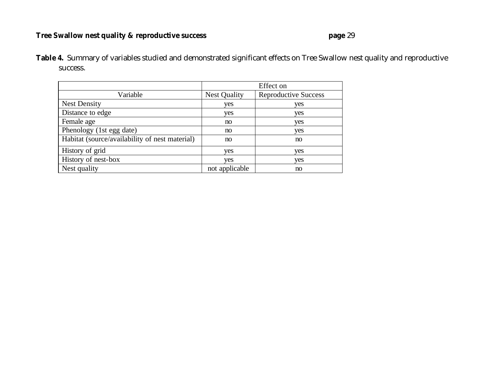**Table 4.** Summary of variables studied and demonstrated significant effects on Tree Swallow nest quality and reproductive success.

|                                                | Effect on           |                             |  |  |
|------------------------------------------------|---------------------|-----------------------------|--|--|
| Variable                                       | <b>Nest Quality</b> | <b>Reproductive Success</b> |  |  |
| <b>Nest Density</b>                            | yes                 | yes                         |  |  |
| Distance to edge                               | yes                 | yes                         |  |  |
| Female age                                     | no                  | yes                         |  |  |
| Phenology (1st egg date)                       | no                  | yes                         |  |  |
| Habitat (source/availability of nest material) | no                  | no                          |  |  |
| History of grid                                | yes                 | yes                         |  |  |
| History of nest-box                            | yes                 | yes                         |  |  |
| Nest quality                                   | not applicable      | no                          |  |  |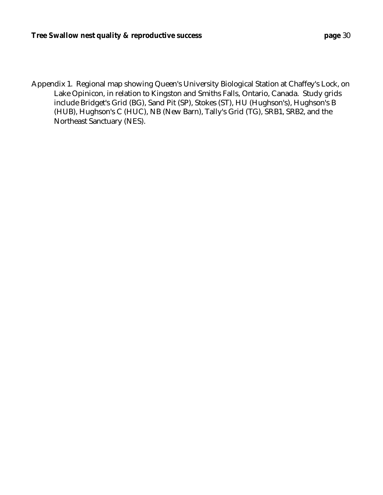Appendix 1. Regional map showing Queen's University Biological Station at Chaffey's Lock, on Lake Opinicon, in relation to Kingston and Smiths Falls, Ontario, Canada. Study grids include Bridget's Grid (BG), Sand Pit (SP), Stokes (ST), HU (Hughson's), Hughson's B (HUB), Hughson's C (HUC), NB (New Barn), Tally's Grid (TG), SRB1, SRB2, and the Northeast Sanctuary (NES).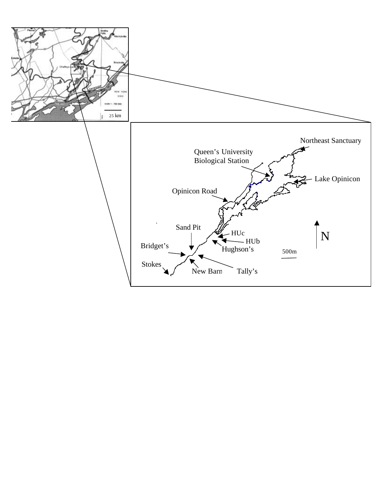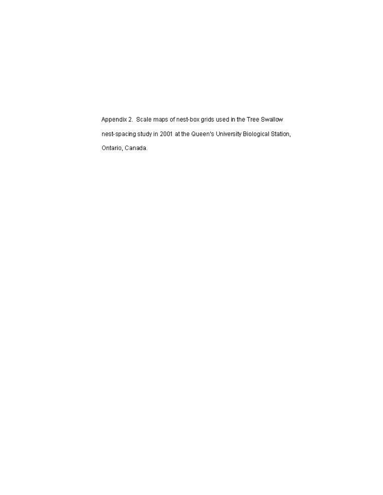Appendix 2. Scale maps of nest-box grids used in the Tree Swallow. nest-spacing study in 2001 at the Queen's University Biological Station, Ontario, Canada.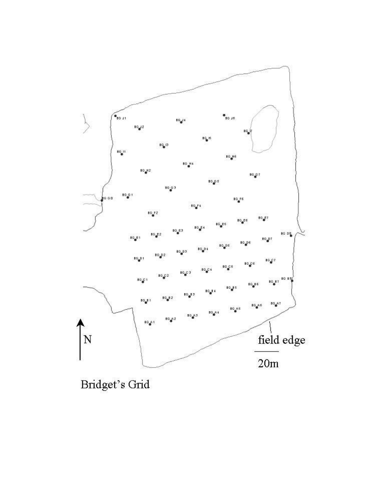

Bridget's Grid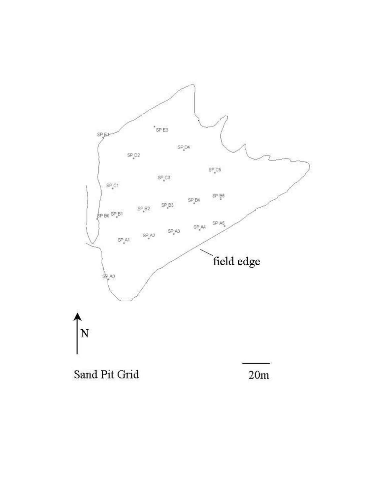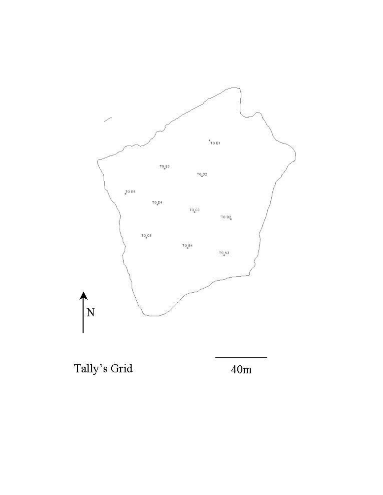

Tally's Grid

 $40m$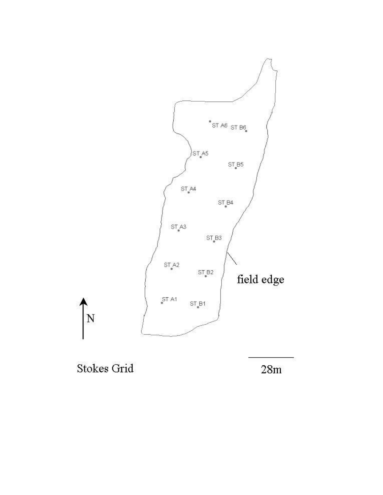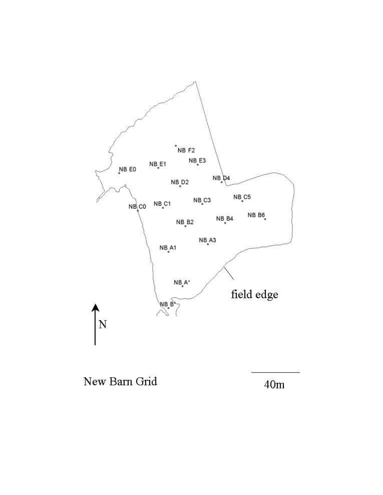

New Barn Grid

 $40m$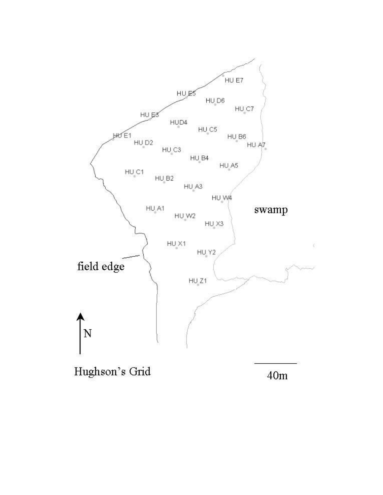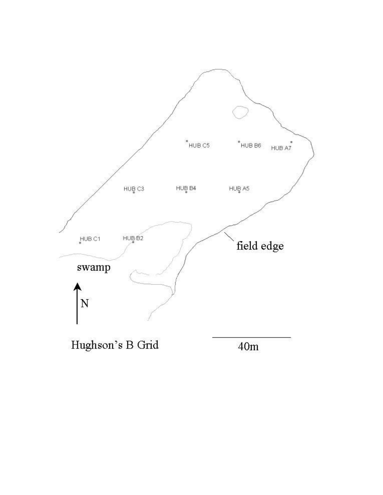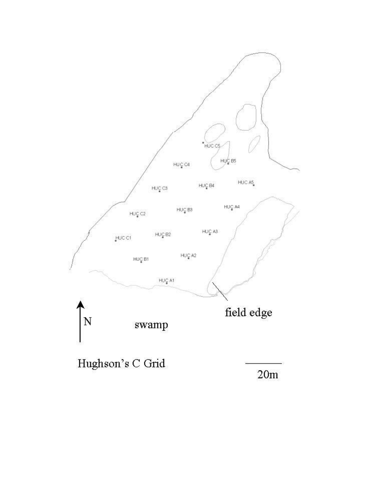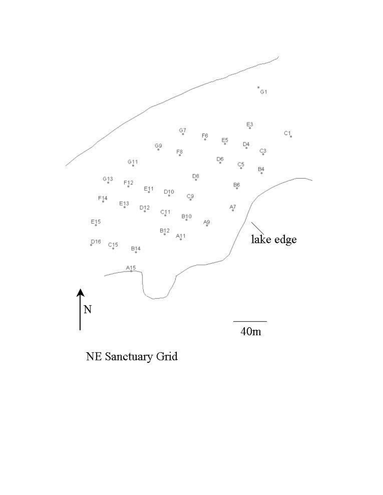

NE Sanctuary Grid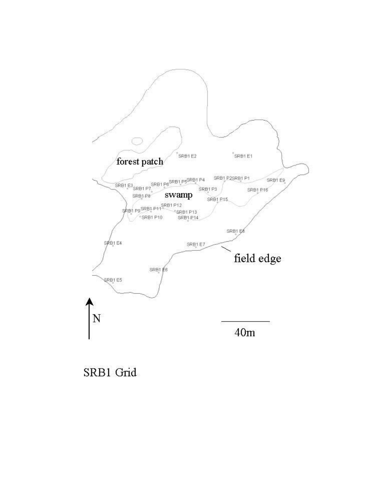

SRB1 Grid